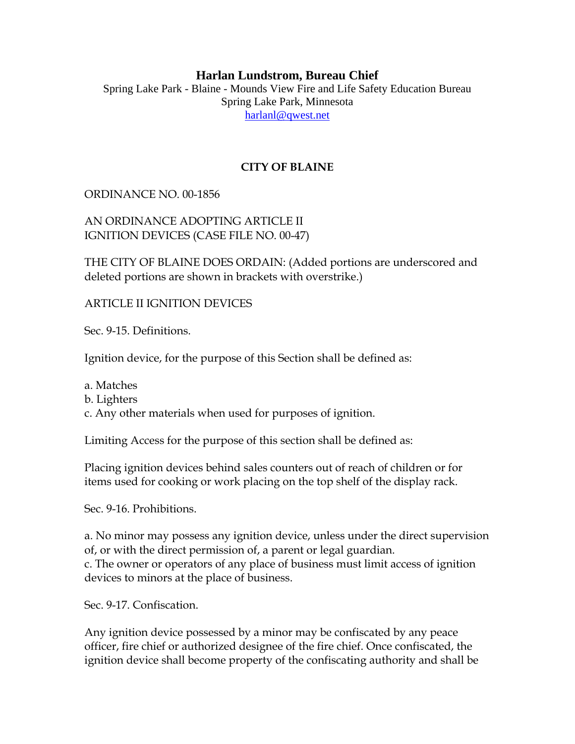## **Harlan Lundstrom, Bureau Chief**

Spring Lake Park - Blaine - Mounds View Fire and Life Safety Education Bureau Spring Lake Park, Minnesota [harlanl@qwest.net](mailto:harlanl@qwest.net)

## **CITY OF BLAINE**

## ORDINANCE NO. 00-1856

AN ORDINANCE ADOPTING ARTICLE II IGNITION DEVICES (CASE FILE NO. 00-47)

THE CITY OF BLAINE DOES ORDAIN: (Added portions are underscored and deleted portions are shown in brackets with overstrike.)

ARTICLE II IGNITION DEVICES

Sec. 9-15. Definitions.

Ignition device, for the purpose of this Section shall be defined as:

a. Matches

b. Lighters

c. Any other materials when used for purposes of ignition.

Limiting Access for the purpose of this section shall be defined as:

Placing ignition devices behind sales counters out of reach of children or for items used for cooking or work placing on the top shelf of the display rack.

Sec. 9-16. Prohibitions.

a. No minor may possess any ignition device, unless under the direct supervision of, or with the direct permission of, a parent or legal guardian. c. The owner or operators of any place of business must limit access of ignition devices to minors at the place of business.

Sec. 9-17. Confiscation.

Any ignition device possessed by a minor may be confiscated by any peace officer, fire chief or authorized designee of the fire chief. Once confiscated, the ignition device shall become property of the confiscating authority and shall be